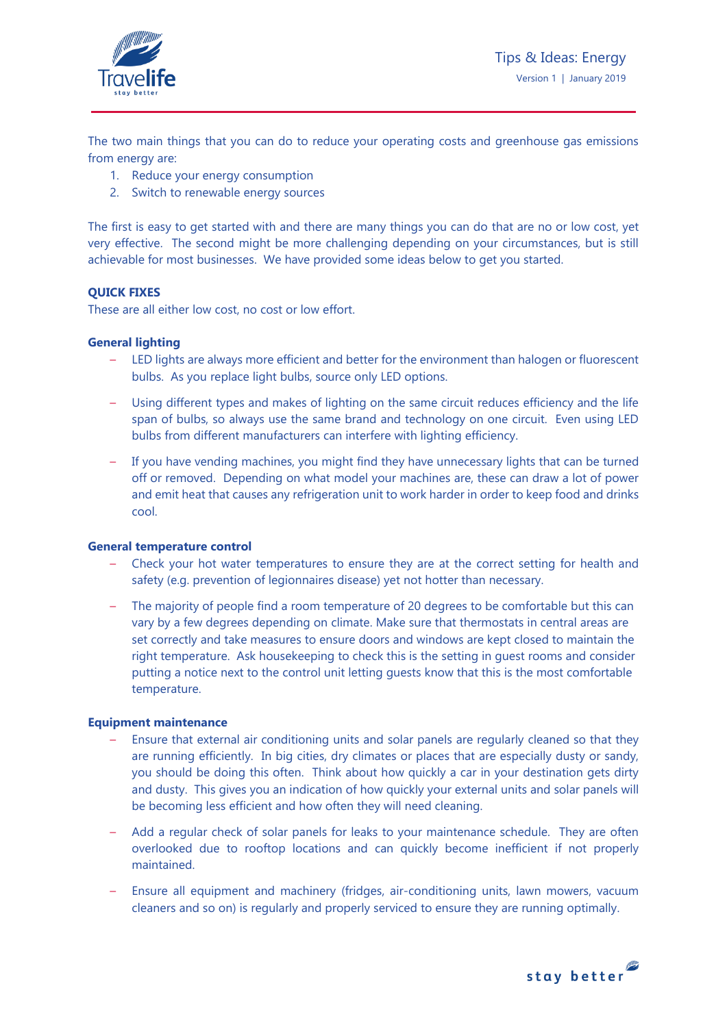

The two main things that you can do to reduce your operating costs and greenhouse gas emissions from energy are:

- 1. Reduce your energy consumption
- 2. Switch to renewable energy sources

The first is easy to get started with and there are many things you can do that are no or low cost, yet very effective. The second might be more challenging depending on your circumstances, but is still achievable for most businesses. We have provided some ideas below to get you started.

# **QUICK FIXES**

These are all either low cost, no cost or low effort.

## **General lighting**

- LED lights are always more efficient and better for the environment than halogen or fluorescent bulbs. As you replace light bulbs, source only LED options.
- Using different types and makes of lighting on the same circuit reduces efficiency and the life span of bulbs, so always use the same brand and technology on one circuit. Even using LED bulbs from different manufacturers can interfere with lighting efficiency.
- If you have vending machines, you might find they have unnecessary lights that can be turned off or removed. Depending on what model your machines are, these can draw a lot of power and emit heat that causes any refrigeration unit to work harder in order to keep food and drinks cool.

## **General temperature control**

- Check your hot water temperatures to ensure they are at the correct setting for health and safety (e.g. prevention of legionnaires disease) yet not hotter than necessary.
- The majority of people find a room temperature of 20 degrees to be comfortable but this can vary by a few degrees depending on climate. Make sure that thermostats in central areas are set correctly and take measures to ensure doors and windows are kept closed to maintain the right temperature. Ask housekeeping to check this is the setting in guest rooms and consider putting a notice next to the control unit letting guests know that this is the most comfortable temperature.

## **Equipment maintenance**

- Ensure that external air conditioning units and solar panels are regularly cleaned so that they are running efficiently. In big cities, dry climates or places that are especially dusty or sandy, you should be doing this often. Think about how quickly a car in your destination gets dirty and dusty. This gives you an indication of how quickly your external units and solar panels will be becoming less efficient and how often they will need cleaning.
- Add a regular check of solar panels for leaks to your maintenance schedule. They are often overlooked due to rooftop locations and can quickly become inefficient if not properly maintained.
- Ensure all equipment and machinery (fridges, air-conditioning units, lawn mowers, vacuum cleaners and so on) is regularly and properly serviced to ensure they are running optimally.

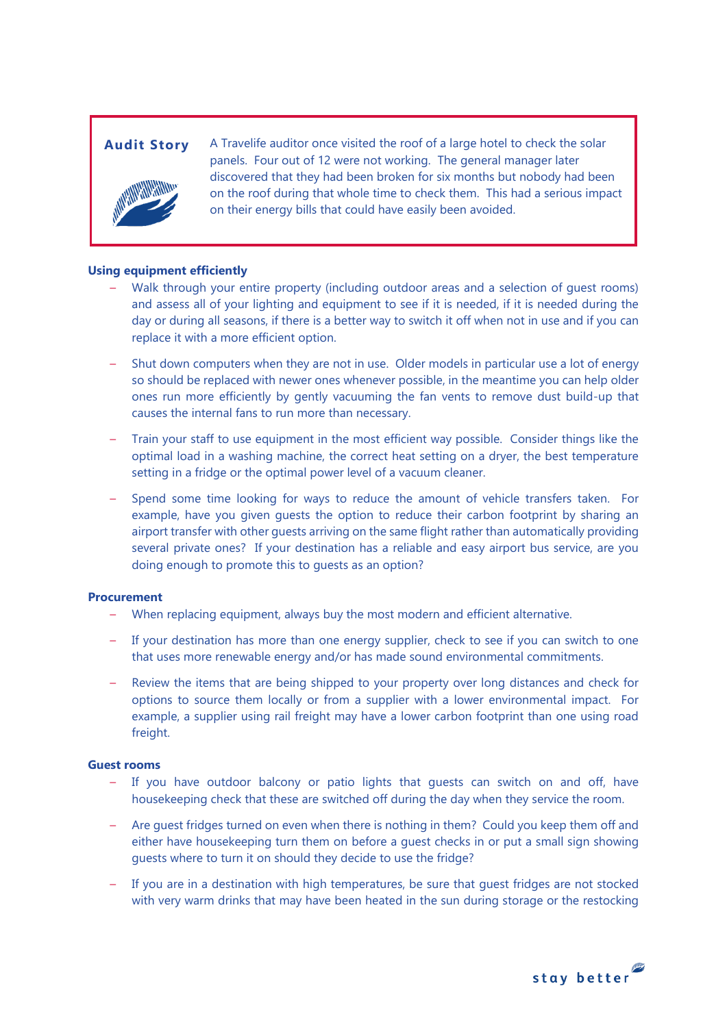

Audit Story A Travelife auditor once visited the roof of a large hotel to check the solar panels. Four out of 12 were not working. The general manager later discovered that they had been broken for six months but nobody had been on the roof during that whole time to check them. This had a serious impact on their energy bills that could have easily been avoided.

### **Using equipment efficiently**

- Walk through your entire property (including outdoor areas and a selection of guest rooms) and assess all of your lighting and equipment to see if it is needed, if it is needed during the day or during all seasons, if there is a better way to switch it off when not in use and if you can replace it with a more efficient option.
- Shut down computers when they are not in use. Older models in particular use a lot of energy so should be replaced with newer ones whenever possible, in the meantime you can help older ones run more efficiently by gently vacuuming the fan vents to remove dust build-up that causes the internal fans to run more than necessary.
- Train your staff to use equipment in the most efficient way possible. Consider things like the optimal load in a washing machine, the correct heat setting on a dryer, the best temperature setting in a fridge or the optimal power level of a vacuum cleaner.
- Spend some time looking for ways to reduce the amount of vehicle transfers taken. For example, have you given guests the option to reduce their carbon footprint by sharing an airport transfer with other guests arriving on the same flight rather than automatically providing several private ones? If your destination has a reliable and easy airport bus service, are you doing enough to promote this to guests as an option?

#### **Procurement**

- When replacing equipment, always buy the most modern and efficient alternative.
- If your destination has more than one energy supplier, check to see if you can switch to one that uses more renewable energy and/or has made sound environmental commitments.
- Review the items that are being shipped to your property over long distances and check for options to source them locally or from a supplier with a lower environmental impact. For example, a supplier using rail freight may have a lower carbon footprint than one using road freight.

#### **Guest rooms**

- If you have outdoor balcony or patio lights that guests can switch on and off, have housekeeping check that these are switched off during the day when they service the room.
- Are guest fridges turned on even when there is nothing in them? Could you keep them off and either have housekeeping turn them on before a guest checks in or put a small sign showing guests where to turn it on should they decide to use the fridge?
- If you are in a destination with high temperatures, be sure that guest fridges are not stocked with very warm drinks that may have been heated in the sun during storage or the restocking

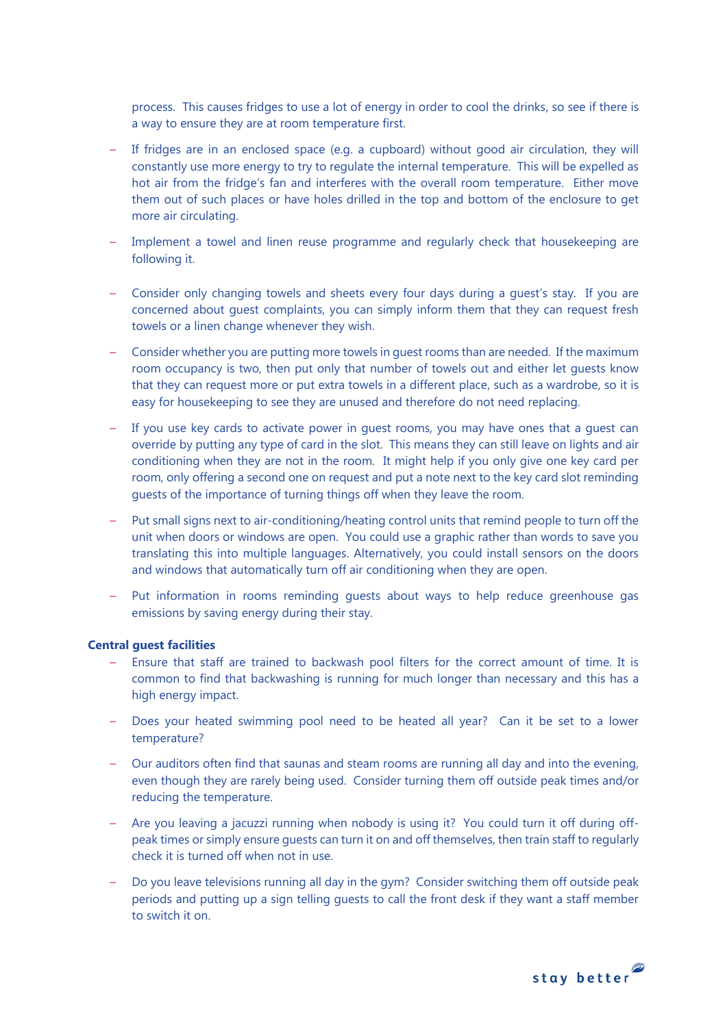process. This causes fridges to use a lot of energy in order to cool the drinks, so see if there is a way to ensure they are at room temperature first.

- If fridges are in an enclosed space (e.g. a cupboard) without good air circulation, they will constantly use more energy to try to regulate the internal temperature. This will be expelled as hot air from the fridge's fan and interferes with the overall room temperature. Either move them out of such places or have holes drilled in the top and bottom of the enclosure to get more air circulating.
- Implement a towel and linen reuse programme and regularly check that housekeeping are following it.
- Consider only changing towels and sheets every four days during a guest's stay. If you are concerned about guest complaints, you can simply inform them that they can request fresh towels or a linen change whenever they wish.
- Consider whether you are putting more towels in guest rooms than are needed. If the maximum room occupancy is two, then put only that number of towels out and either let guests know that they can request more or put extra towels in a different place, such as a wardrobe, so it is easy for housekeeping to see they are unused and therefore do not need replacing.
- If you use key cards to activate power in guest rooms, you may have ones that a guest can override by putting any type of card in the slot. This means they can still leave on lights and air conditioning when they are not in the room. It might help if you only give one key card per room, only offering a second one on request and put a note next to the key card slot reminding guests of the importance of turning things off when they leave the room.
- Put small signs next to air-conditioning/heating control units that remind people to turn off the unit when doors or windows are open. You could use a graphic rather than words to save you translating this into multiple languages. Alternatively, you could install sensors on the doors and windows that automatically turn off air conditioning when they are open.
- Put information in rooms reminding guests about ways to help reduce greenhouse gas emissions by saving energy during their stay.

#### **Central guest facilities**

- Ensure that staff are trained to backwash pool filters for the correct amount of time. It is common to find that backwashing is running for much longer than necessary and this has a high energy impact.
- Does your heated swimming pool need to be heated all year? Can it be set to a lower temperature?
- Our auditors often find that saunas and steam rooms are running all day and into the evening, even though they are rarely being used. Consider turning them off outside peak times and/or reducing the temperature.
- Are you leaving a jacuzzi running when nobody is using it? You could turn it off during offpeak times or simply ensure guests can turn it on and off themselves, then train staff to regularly check it is turned off when not in use.
- Do you leave televisions running all day in the gym? Consider switching them off outside peak periods and putting up a sign telling guests to call the front desk if they want a staff member to switch it on.

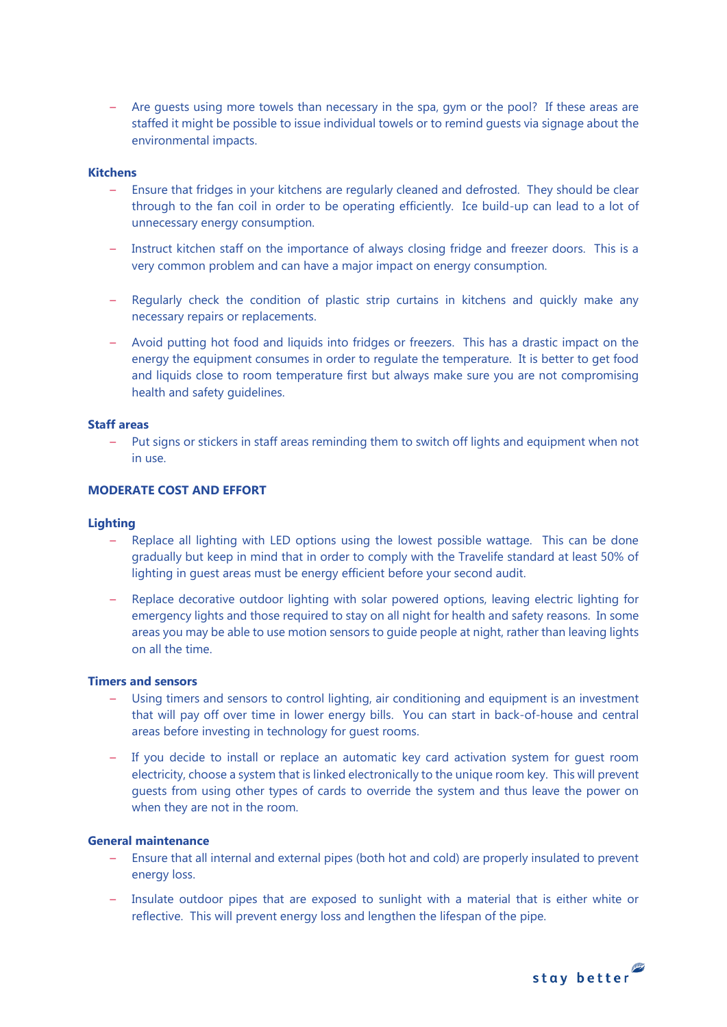– Are guests using more towels than necessary in the spa, gym or the pool? If these areas are staffed it might be possible to issue individual towels or to remind guests via signage about the environmental impacts.

## **Kitchens**

- Ensure that fridges in your kitchens are regularly cleaned and defrosted. They should be clear through to the fan coil in order to be operating efficiently. Ice build-up can lead to a lot of unnecessary energy consumption.
- Instruct kitchen staff on the importance of always closing fridge and freezer doors. This is a very common problem and can have a major impact on energy consumption.
- Regularly check the condition of plastic strip curtains in kitchens and quickly make any necessary repairs or replacements.
- Avoid putting hot food and liquids into fridges or freezers. This has a drastic impact on the energy the equipment consumes in order to regulate the temperature. It is better to get food and liquids close to room temperature first but always make sure you are not compromising health and safety guidelines.

## **Staff areas**

– Put signs or stickers in staff areas reminding them to switch off lights and equipment when not in use.

# **MODERATE COST AND EFFORT**

#### **Lighting**

- Replace all lighting with LED options using the lowest possible wattage. This can be done gradually but keep in mind that in order to comply with the Travelife standard at least 50% of lighting in guest areas must be energy efficient before your second audit.
- Replace decorative outdoor lighting with solar powered options, leaving electric lighting for emergency lights and those required to stay on all night for health and safety reasons. In some areas you may be able to use motion sensors to guide people at night, rather than leaving lights on all the time.

#### **Timers and sensors**

- Using timers and sensors to control lighting, air conditioning and equipment is an investment that will pay off over time in lower energy bills. You can start in back-of-house and central areas before investing in technology for guest rooms.
- If you decide to install or replace an automatic key card activation system for guest room electricity, choose a system that is linked electronically to the unique room key. This will prevent guests from using other types of cards to override the system and thus leave the power on when they are not in the room.

#### **General maintenance**

- Ensure that all internal and external pipes (both hot and cold) are properly insulated to prevent energy loss.
- Insulate outdoor pipes that are exposed to sunlight with a material that is either white or reflective. This will prevent energy loss and lengthen the lifespan of the pipe.